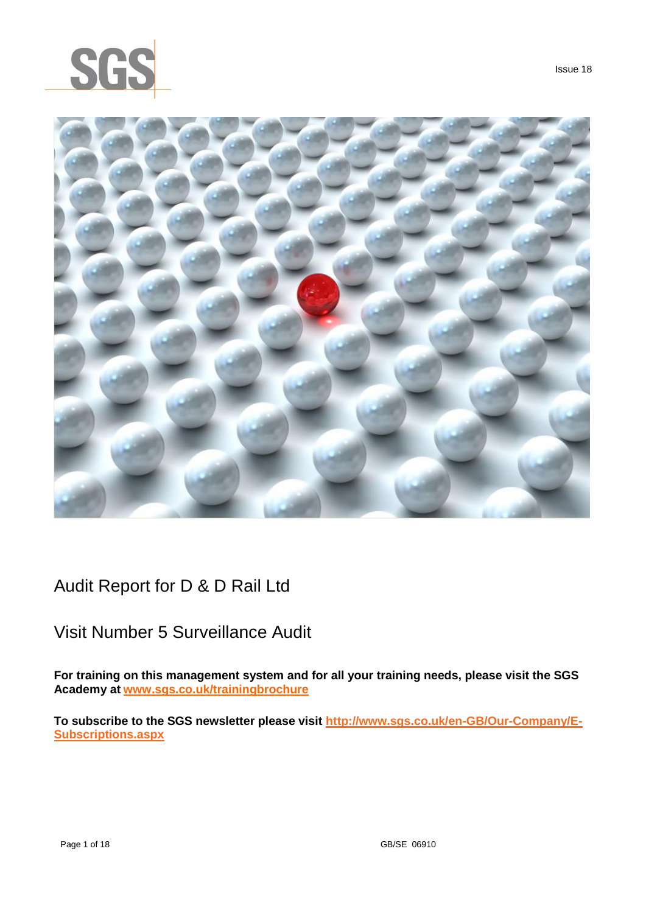



Audit Report for D & D Rail Ltd

# Visit Number 5 Surveillance Audit

**For training on this management system and for all your training needs, please visit the SGS Academy at [www.sgs.co.uk/trainingbrochure](http://www.sgs.co.uk/trainingbrochure)**

**To subscribe to the SGS newsletter please visit [http://www.sgs.co.uk/en-GB/Our-Company/E-](http://www.sgs.co.uk/en-GB/Our-Company/E-Subscriptions.aspx)[Subscriptions.aspx](http://www.sgs.co.uk/en-GB/Our-Company/E-Subscriptions.aspx)**

Issue 18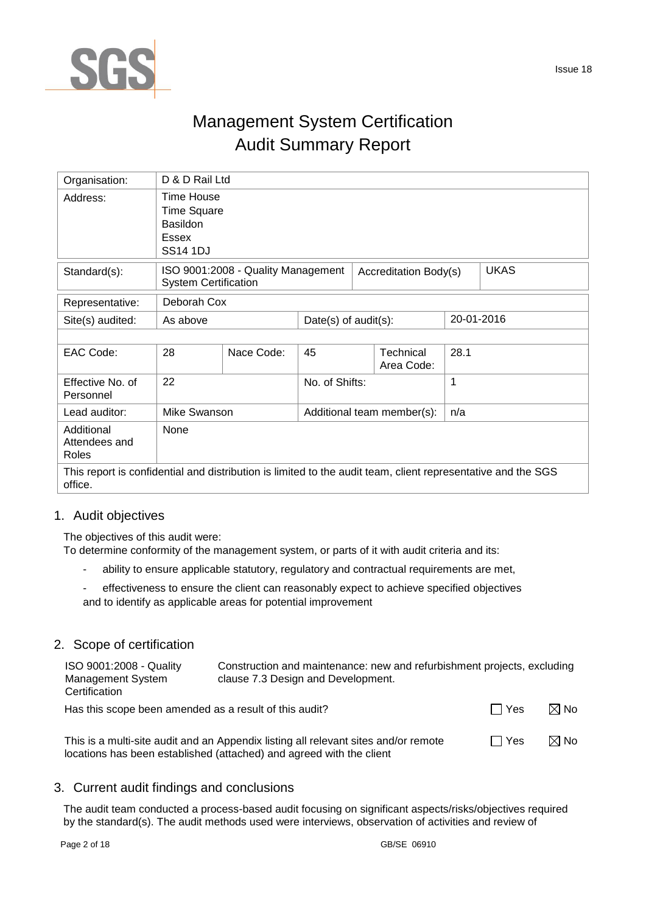

# Management System Certification Audit Summary Report

| Organisation:                                                                                                           | D & D Rail Ltd                                                                         |                                    |                         |                            |                         |      |             |  |
|-------------------------------------------------------------------------------------------------------------------------|----------------------------------------------------------------------------------------|------------------------------------|-------------------------|----------------------------|-------------------------|------|-------------|--|
| Address:                                                                                                                | Time House<br><b>Time Square</b><br><b>Basildon</b><br><b>Essex</b><br><b>SS14 1DJ</b> |                                    |                         |                            |                         |      |             |  |
| Standard(s):                                                                                                            | <b>System Certification</b>                                                            | ISO 9001:2008 - Quality Management |                         | Accreditation Body(s)      |                         |      | <b>UKAS</b> |  |
| Representative:                                                                                                         | Deborah Cox                                                                            |                                    |                         |                            |                         |      |             |  |
| Site(s) audited:                                                                                                        | As above                                                                               |                                    | Date(s) of $audit(s)$ : |                            |                         |      | 20-01-2016  |  |
|                                                                                                                         |                                                                                        |                                    |                         |                            |                         |      |             |  |
| EAC Code:                                                                                                               | 28                                                                                     | Nace Code:                         | 45                      |                            | Technical<br>Area Code: | 28.1 |             |  |
| Effective No. of<br>Personnel                                                                                           | 22                                                                                     |                                    | No. of Shifts:          |                            |                         | 1    |             |  |
| Lead auditor:                                                                                                           | Mike Swanson                                                                           |                                    |                         | Additional team member(s): |                         | n/a  |             |  |
| Additional<br>Attendees and<br>Roles                                                                                    | None                                                                                   |                                    |                         |                            |                         |      |             |  |
| This report is confidential and distribution is limited to the audit team, client representative and the SGS<br>office. |                                                                                        |                                    |                         |                            |                         |      |             |  |

## 1. Audit objectives

The objectives of this audit were:

To determine conformity of the management system, or parts of it with audit criteria and its:

- ability to ensure applicable statutory, regulatory and contractual requirements are met,
- effectiveness to ensure the client can reasonably expect to achieve specified objectives and to identify as applicable areas for potential improvement

## 2. Scope of certification

| ISO 9001:2008 - Quality<br><b>Management System</b><br>Certification | Construction and maintenance: new and refurbishment projects, excluding<br>clause 7.3 Design and Development. |       |                |
|----------------------------------------------------------------------|---------------------------------------------------------------------------------------------------------------|-------|----------------|
| Has this scope been amended as a result of this audit?               |                                                                                                               | □ Yes | $\boxtimes$ No |

This is a multi-site audit and an Appendix listing all relevant sites and/or remote locations has been established (attached) and agreed with the client  $\Box$  Yes  $\boxtimes$  No

## 3. Current audit findings and conclusions

The audit team conducted a process-based audit focusing on significant aspects/risks/objectives required by the standard(s). The audit methods used were interviews, observation of activities and review of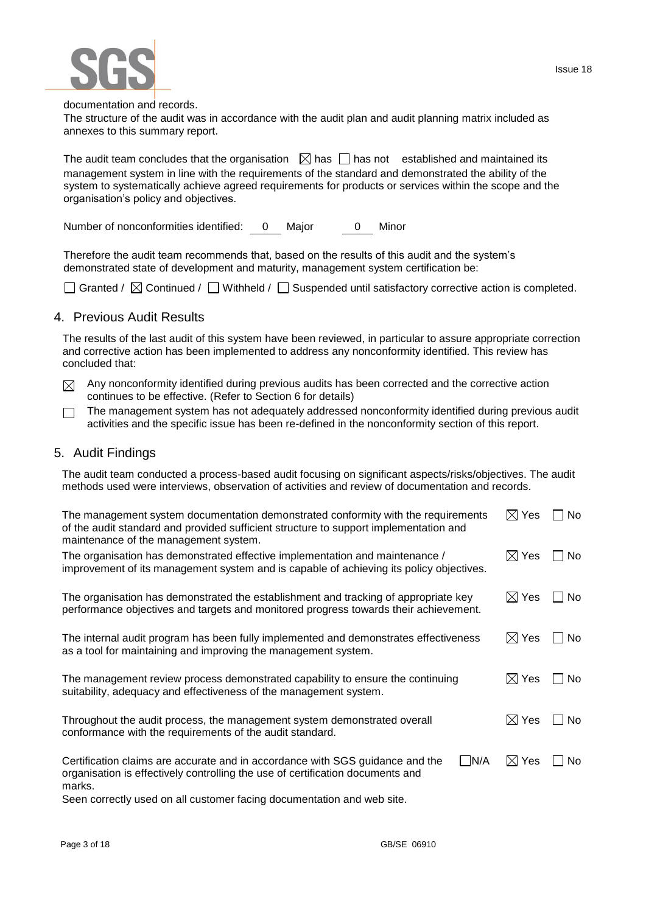Issue 18



documentation and records.

The structure of the audit was in accordance with the audit plan and audit planning matrix included as annexes to this summary report.

The audit team concludes that the organisation  $\Box$  has  $\Box$  has not established and maintained its management system in line with the requirements of the standard and demonstrated the ability of the system to systematically achieve agreed requirements for products or services within the scope and the organisation's policy and objectives.

Number of nonconformities identified: 0 Major 0 Minor

Therefore the audit team recommends that, based on the results of this audit and the system's demonstrated state of development and maturity, management system certification be:

 $\Box$  Granted /  $\boxtimes$  Continued /  $\Box$  Withheld /  $\Box$  Suspended until satisfactory corrective action is completed.

## 4. Previous Audit Results

The results of the last audit of this system have been reviewed, in particular to assure appropriate correction and corrective action has been implemented to address any nonconformity identified. This review has concluded that:

Any nonconformity identified during previous audits has been corrected and the corrective action  $\boxtimes$ continues to be effective. (Refer to Section 6 for details)

The management system has not adequately addressed nonconformity identified during previous audit  $\Box$ activities and the specific issue has been re-defined in the nonconformity section of this report.

## 5. Audit Findings

The audit team conducted a process-based audit focusing on significant aspects/risks/objectives. The audit methods used were interviews, observation of activities and review of documentation and records.

| The management system documentation demonstrated conformity with the requirements<br>of the audit standard and provided sufficient structure to support implementation and<br>maintenance of the management system. | $\boxtimes$ Yes | No. |
|---------------------------------------------------------------------------------------------------------------------------------------------------------------------------------------------------------------------|-----------------|-----|
| The organisation has demonstrated effective implementation and maintenance /<br>improvement of its management system and is capable of achieving its policy objectives.                                             | $\boxtimes$ Yes | No. |
| The organisation has demonstrated the establishment and tracking of appropriate key<br>performance objectives and targets and monitored progress towards their achievement.                                         | $\boxtimes$ Yes | No. |
| The internal audit program has been fully implemented and demonstrates effectiveness<br>as a tool for maintaining and improving the management system.                                                              | $\boxtimes$ Yes | No. |
| The management review process demonstrated capability to ensure the continuing<br>suitability, adequacy and effectiveness of the management system.                                                                 | $\boxtimes$ Yes | No. |
| Throughout the audit process, the management system demonstrated overall<br>conformance with the requirements of the audit standard.                                                                                | $\boxtimes$ Yes | No. |
| N/A<br>Certification claims are accurate and in accordance with SGS guidance and the<br>organisation is effectively controlling the use of certification documents and<br>marks.                                    | $\boxtimes$ Yes | No. |

Seen correctly used on all customer facing documentation and web site.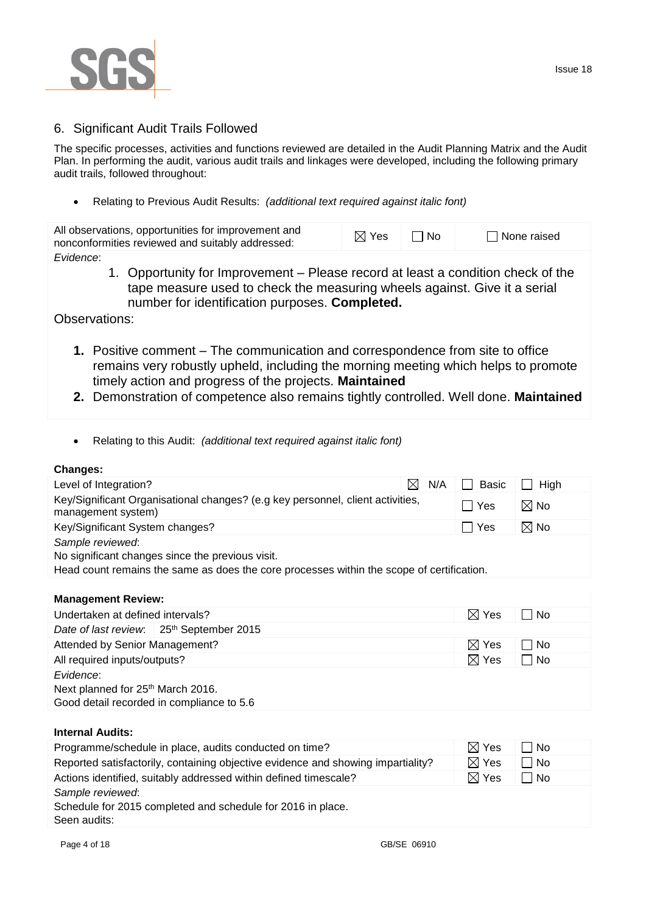

The specific processes, activities and functions reviewed are detailed in the Audit Planning Matrix and the Audit Plan. In performing the audit, various audit trails and linkages were developed, including the following primary audit trails, followed throughout:

Relating to Previous Audit Results: *(additional text required against italic font)*

| All observations, opportunities for improvement and<br>nonconformities reviewed and suitably addressed:                                                                                                                      | $\boxtimes$ Yes | l No | $\Box$ None raised |
|------------------------------------------------------------------------------------------------------------------------------------------------------------------------------------------------------------------------------|-----------------|------|--------------------|
| Evidence:<br>1. Opportunity for Improvement – Please record at least a condition check of the<br>tape measure used to check the measuring wheels against. Give it a serial<br>number for identification purposes. Completed. |                 |      |                    |

Observations:

- **1.** Positive comment The communication and correspondence from site to office remains very robustly upheld, including the morning meeting which helps to promote timely action and progress of the projects. **Maintained**
- **2.** Demonstration of competence also remains tightly controlled. Well done. **Maintained**
- Relating to this Audit: *(additional text required against italic font)*

### **Changes:**

| Unany <del>c</del> s.                                                                                |                 |                |
|------------------------------------------------------------------------------------------------------|-----------------|----------------|
| Level of Integration?<br>N/A<br>$\boxtimes$                                                          | <b>Basic</b>    | High           |
| Key/Significant Organisational changes? (e.g key personnel, client activities,<br>management system) | Yes             | $\boxtimes$ No |
| Key/Significant System changes?                                                                      | Yes             | $\boxtimes$ No |
| Sample reviewed:                                                                                     |                 |                |
| No significant changes since the previous visit.                                                     |                 |                |
| Head count remains the same as does the core processes within the scope of certification.            |                 |                |
|                                                                                                      |                 |                |
| <b>Management Review:</b>                                                                            |                 |                |
| Undertaken at defined intervals?                                                                     | $\boxtimes$ Yes | No             |
| Date of last review. 25th September 2015                                                             |                 |                |
| Attended by Senior Management?                                                                       | $\boxtimes$ Yes | No             |
| All required inputs/outputs?                                                                         | $\boxtimes$ Yes | $\Box$ No      |
| Evidence:                                                                                            |                 |                |
| Next planned for 25 <sup>th</sup> March 2016.                                                        |                 |                |
| Good detail recorded in compliance to 5.6                                                            |                 |                |
|                                                                                                      |                 |                |
| <b>Internal Audits:</b>                                                                              |                 |                |
| Programme/schedule in place, audits conducted on time?                                               | $\boxtimes$ Yes | No             |
| Reported satisfactorily, containing objective evidence and showing impartiality?                     | $\boxtimes$ Yes | ∣ ∣No          |
| Actions identified, suitably addressed within defined timescale?                                     | $\boxtimes$ Yes | $\Box$ No      |

*Sample reviewed*:

Schedule for 2015 completed and schedule for 2016 in place. Seen audits: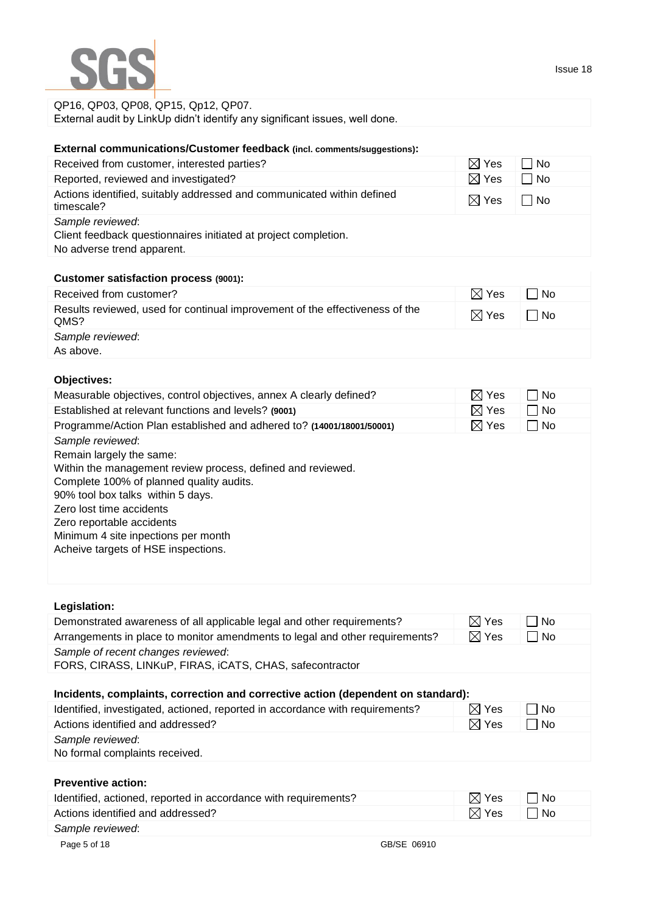

## QP16, QP03, QP08, QP15, Qp12, QP07. External audit by LinkUp didn't identify any significant issues, well done.

## **External communications/Customer feedback (incl. comments/suggestions):**

| Received from customer, interested parties?                                                                       | $\boxtimes$ Yes | □ No      |
|-------------------------------------------------------------------------------------------------------------------|-----------------|-----------|
| Reported, reviewed and investigated?                                                                              | $\boxtimes$ Yes | $\Box$ No |
| Actions identified, suitably addressed and communicated within defined<br>timescale?                              | $\boxtimes$ Yes | ⊟ No      |
| Sample reviewed:<br>Client feedback questionnaires initiated at project completion.<br>No adverse trend apparent. |                 |           |

## **Customer satisfaction process (9001):**

| Received from customer?                                                              | $\boxtimes$ Yes | l No      |
|--------------------------------------------------------------------------------------|-----------------|-----------|
| Results reviewed, used for continual improvement of the effectiveness of the<br>QMS? | $\boxtimes$ Yes | $\Box$ No |
| Sample reviewed:<br>As above.                                                        |                 |           |

# **Objectives:**

| Measurable objectives, control objectives, annex A clearly defined?                                                                                                                                                                                                                                                                 | $\boxtimes$ Yes | No.  |
|-------------------------------------------------------------------------------------------------------------------------------------------------------------------------------------------------------------------------------------------------------------------------------------------------------------------------------------|-----------------|------|
| Established at relevant functions and levels? (9001)                                                                                                                                                                                                                                                                                | $\boxtimes$ Yes | □ No |
| Programme/Action Plan established and adhered to? (14001/18001/50001)                                                                                                                                                                                                                                                               | $\boxtimes$ Yes | No   |
| Sample reviewed:<br>Remain largely the same:<br>Within the management review process, defined and reviewed.<br>Complete 100% of planned quality audits.<br>90% tool box talks within 5 days.<br>Zero lost time accidents<br>Zero reportable accidents<br>Minimum 4 site inpections per month<br>Acheive targets of HSE inspections. |                 |      |

| Legislation:                                                                                   |                  |     |
|------------------------------------------------------------------------------------------------|------------------|-----|
| Demonstrated awareness of all applicable legal and other requirements?                         | $\bowtie$<br>Yes | No. |
| Arrangements in place to monitor amendments to legal and other requirements?                   | $\boxtimes$ Yes  | No  |
| Sample of recent changes reviewed:<br>FORS, CIRASS, LINKuP, FIRAS, iCATS, CHAS, safecontractor |                  |     |
| Incidents, complaints, correction and corrective action (dependent on standard):               |                  |     |
| Identified, investigated, actioned, reported in accordance with requirements?                  | ⊠ Yes            | No. |
| Actions identified and addressed?                                                              | $\boxtimes$ Yes  | ∣No |
| Sample reviewed:<br>No formal complaints received.                                             |                  |     |
| <b>Preventive action:</b>                                                                      |                  |     |
| Identified, actioned, reported in accordance with requirements?                                | $\bowtie$<br>Yes | No. |
| Actions identified and addressed?                                                              | Yes<br>MГ        | ∣No |
| Sample reviewed:                                                                               |                  |     |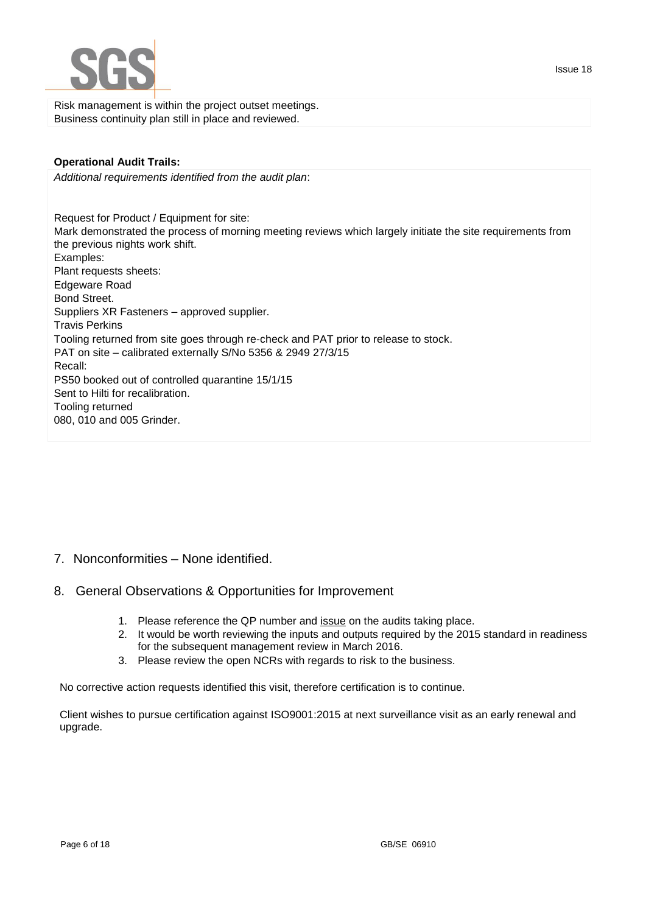

Risk management is within the project outset meetings. Business continuity plan still in place and reviewed.

## **Operational Audit Trails:**

*Additional requirements identified from the audit plan*:

Request for Product / Equipment for site: Mark demonstrated the process of morning meeting reviews which largely initiate the site requirements from the previous nights work shift. Examples: Plant requests sheets: Edgeware Road Bond Street. Suppliers XR Fasteners – approved supplier. Travis Perkins Tooling returned from site goes through re-check and PAT prior to release to stock. PAT on site – calibrated externally S/No 5356 & 2949 27/3/15 Recall: PS50 booked out of controlled quarantine 15/1/15 Sent to Hilti for recalibration. Tooling returned 080, 010 and 005 Grinder.

- 7. Nonconformities None identified.
- 8. General Observations & Opportunities for Improvement
	- 1. Please reference the QP number and issue on the audits taking place.
	- 2. It would be worth reviewing the inputs and outputs required by the 2015 standard in readiness for the subsequent management review in March 2016.
	- 3. Please review the open NCRs with regards to risk to the business.

No corrective action requests identified this visit, therefore certification is to continue.

Client wishes to pursue certification against ISO9001:2015 at next surveillance visit as an early renewal and upgrade.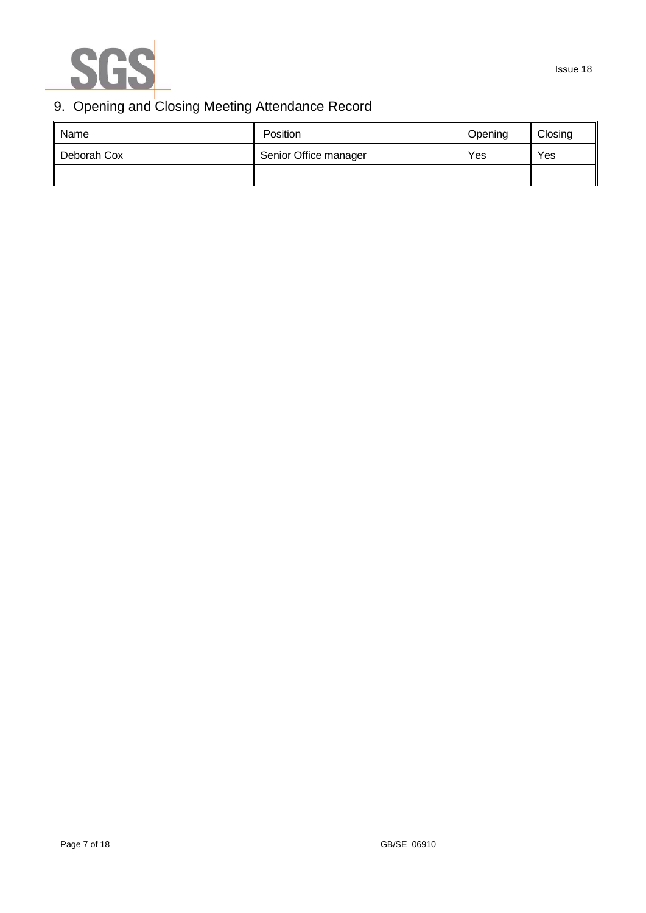

# 9. Opening and Closing Meeting Attendance Record

| Name        | Position              | Opening | Closing |
|-------------|-----------------------|---------|---------|
| Deborah Cox | Senior Office manager | Yes     | Yes     |
|             |                       |         |         |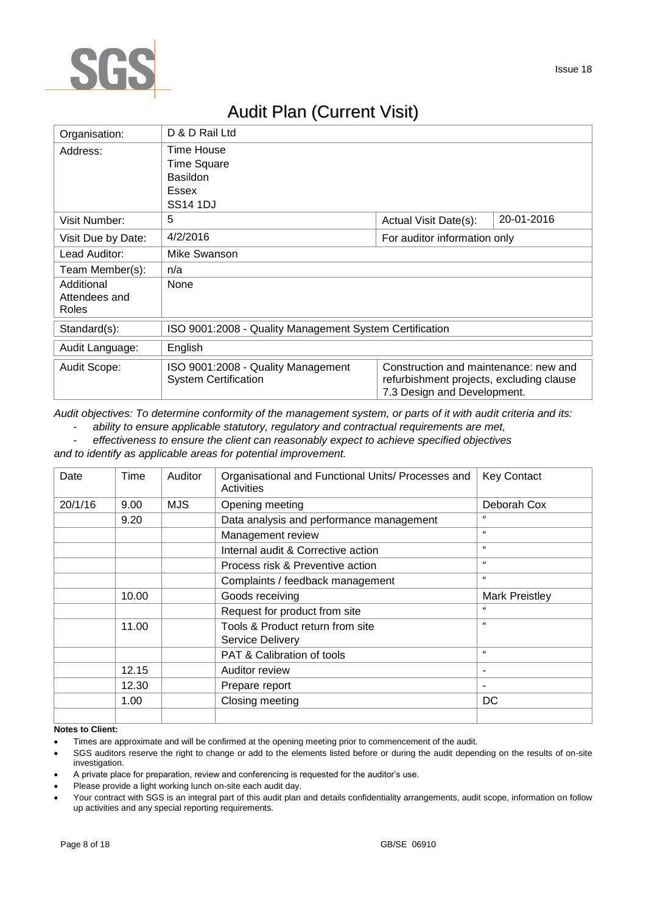

# Audit Plan (Current Visit)

| Organisation:                        | D & D Rail Ltd                                                                              |                                                                                                                  |            |
|--------------------------------------|---------------------------------------------------------------------------------------------|------------------------------------------------------------------------------------------------------------------|------------|
| Address:                             | Time House<br><b>Time Square</b><br><b>Basildon</b><br><b>Essex</b><br>SS <sub>14</sub> 1DJ |                                                                                                                  |            |
| Visit Number:                        | 5                                                                                           | Actual Visit Date(s):                                                                                            | 20-01-2016 |
| Visit Due by Date:                   | 4/2/2016                                                                                    | For auditor information only                                                                                     |            |
| Lead Auditor:                        | Mike Swanson                                                                                |                                                                                                                  |            |
| Team Member(s):                      | n/a                                                                                         |                                                                                                                  |            |
| Additional<br>Attendees and<br>Roles | None                                                                                        |                                                                                                                  |            |
| Standard(s):                         | ISO 9001:2008 - Quality Management System Certification                                     |                                                                                                                  |            |
| Audit Language:                      | English                                                                                     |                                                                                                                  |            |
| Audit Scope:                         | ISO 9001:2008 - Quality Management<br><b>System Certification</b>                           | Construction and maintenance: new and<br>refurbishment projects, excluding clause<br>7.3 Design and Development. |            |

*Audit objectives: To determine conformity of the management system, or parts of it with audit criteria and its:*

- *ability to ensure applicable statutory, regulatory and contractual requirements are met,*

- *effectiveness to ensure the client can reasonably expect to achieve specified objectives*

*and to identify as applicable areas for potential improvement.*

| Date    | Time  | Auditor    | Organisational and Functional Units/ Processes and<br>Activities | <b>Key Contact</b> |
|---------|-------|------------|------------------------------------------------------------------|--------------------|
| 20/1/16 | 9.00  | <b>MJS</b> | Opening meeting                                                  | Deborah Cox        |
|         | 9.20  |            | Data analysis and performance management                         | 66                 |
|         |       |            | Management review                                                | $\epsilon$         |
|         |       |            | Internal audit & Corrective action                               | $\epsilon$         |
|         |       |            | Process risk & Preventive action                                 | $\mathbf{G}$       |
|         |       |            | Complaints / feedback management                                 | $\epsilon$         |
|         | 10.00 |            | Goods receiving                                                  | Mark Preistley     |
|         |       |            | Request for product from site                                    | $\epsilon$         |
|         | 11.00 |            | Tools & Product return from site                                 | $\mathbf{G}$       |
|         |       |            | <b>Service Delivery</b>                                          |                    |
|         |       |            | PAT & Calibration of tools                                       | $\epsilon$         |
|         | 12.15 |            | Auditor review                                                   |                    |
|         | 12.30 |            | Prepare report                                                   |                    |
|         | 1.00  |            | Closing meeting                                                  | DC                 |
|         |       |            |                                                                  |                    |

#### **Notes to Client:**

Times are approximate and will be confirmed at the opening meeting prior to commencement of the audit.

 SGS auditors reserve the right to change or add to the elements listed before or during the audit depending on the results of on-site investigation.

A private place for preparation, review and conferencing is requested for the auditor's use.

Please provide a light working lunch on-site each audit day.

Your contract with SGS is an integral part of this audit plan and details confidentiality arrangements, audit scope, information on follow up activities and any special reporting requirements.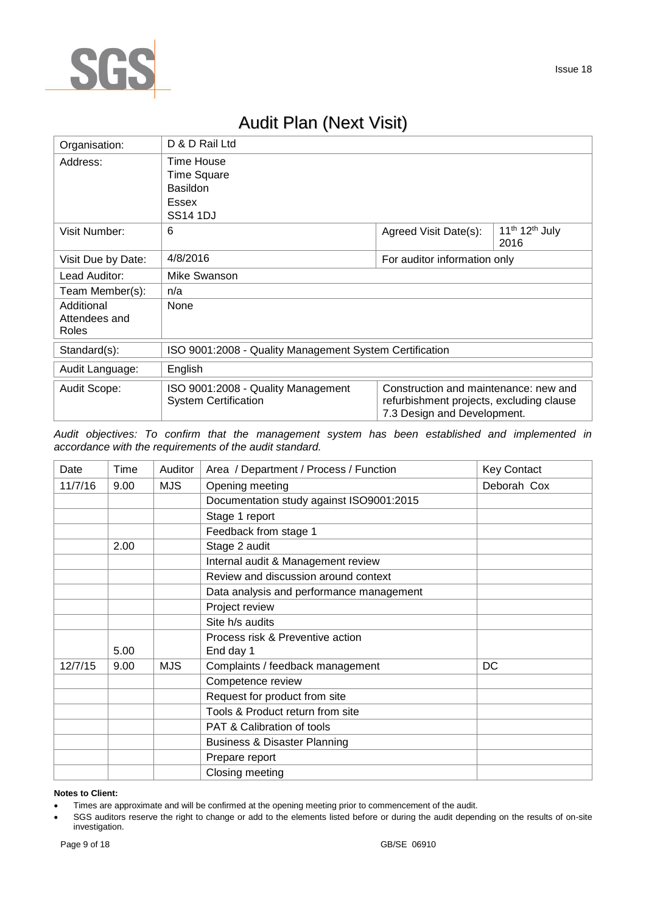

# Audit Plan (Next Visit)

| Organisation:                        | D & D Rail Ltd                                                                         |                                                                                                                  |                                                |  |
|--------------------------------------|----------------------------------------------------------------------------------------|------------------------------------------------------------------------------------------------------------------|------------------------------------------------|--|
| Address:                             | Time House<br><b>Time Square</b><br><b>Basildon</b><br><b>Essex</b><br><b>SS14 1DJ</b> |                                                                                                                  |                                                |  |
| Visit Number:                        | 6                                                                                      | Agreed Visit Date(s):                                                                                            | 11 <sup>th</sup> 12 <sup>th</sup> July<br>2016 |  |
| Visit Due by Date:                   | 4/8/2016                                                                               | For auditor information only                                                                                     |                                                |  |
| Lead Auditor:                        | Mike Swanson                                                                           |                                                                                                                  |                                                |  |
| Team Member(s):                      | n/a                                                                                    |                                                                                                                  |                                                |  |
| Additional<br>Attendees and<br>Roles | None                                                                                   |                                                                                                                  |                                                |  |
| Standard(s):                         | ISO 9001:2008 - Quality Management System Certification                                |                                                                                                                  |                                                |  |
| Audit Language:                      | English                                                                                |                                                                                                                  |                                                |  |
| Audit Scope:                         | ISO 9001:2008 - Quality Management<br><b>System Certification</b>                      | Construction and maintenance: new and<br>refurbishment projects, excluding clause<br>7.3 Design and Development. |                                                |  |

*Audit objectives: To confirm that the management system has been established and implemented in accordance with the requirements of the audit standard.*

| Date    | Time | Auditor    | Area / Department / Process / Function   | <b>Key Contact</b> |
|---------|------|------------|------------------------------------------|--------------------|
| 11/7/16 | 9.00 | <b>MJS</b> | Opening meeting                          | Deborah Cox        |
|         |      |            | Documentation study against ISO9001:2015 |                    |
|         |      |            | Stage 1 report                           |                    |
|         |      |            | Feedback from stage 1                    |                    |
|         | 2.00 |            | Stage 2 audit                            |                    |
|         |      |            | Internal audit & Management review       |                    |
|         |      |            | Review and discussion around context     |                    |
|         |      |            | Data analysis and performance management |                    |
|         |      |            | Project review                           |                    |
|         |      |            | Site h/s audits                          |                    |
|         |      |            | Process risk & Preventive action         |                    |
|         | 5.00 |            | End day 1                                |                    |
| 12/7/15 | 9.00 | <b>MJS</b> | Complaints / feedback management         | DC                 |
|         |      |            | Competence review                        |                    |
|         |      |            | Request for product from site            |                    |
|         |      |            | Tools & Product return from site         |                    |
|         |      |            | <b>PAT &amp; Calibration of tools</b>    |                    |
|         |      |            | <b>Business &amp; Disaster Planning</b>  |                    |
|         |      |            | Prepare report                           |                    |
|         |      |            | Closing meeting                          |                    |

#### **Notes to Client:**

Times are approximate and will be confirmed at the opening meeting prior to commencement of the audit.

 SGS auditors reserve the right to change or add to the elements listed before or during the audit depending on the results of on-site investigation.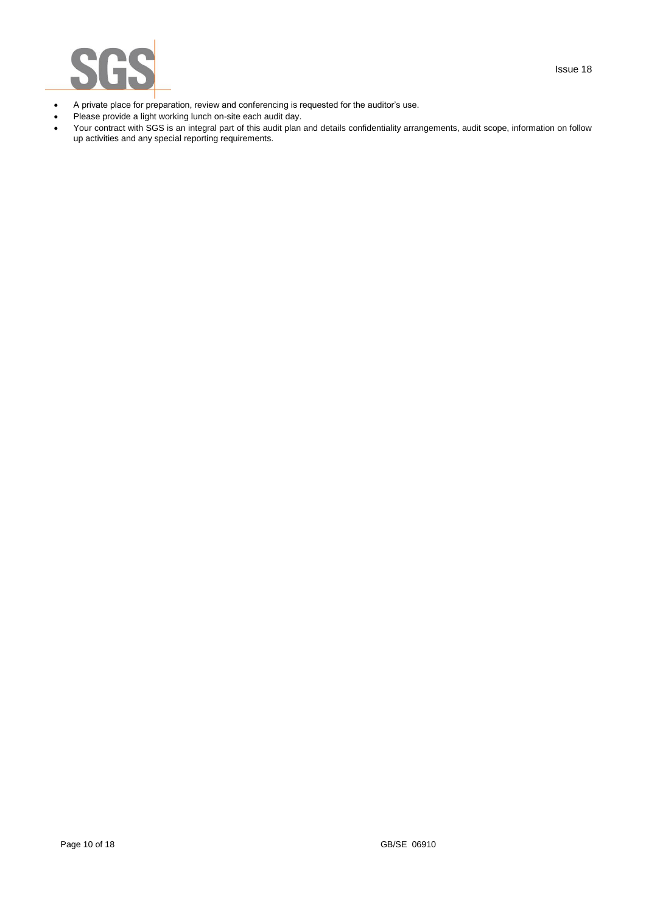

- A private place for preparation, review and conferencing is requested for the auditor's use.
- Please provide a light working lunch on-site each audit day.
- Your contract with SGS is an integral part of this audit plan and details confidentiality arrangements, audit scope, information on follow up activities and any special reporting requirements.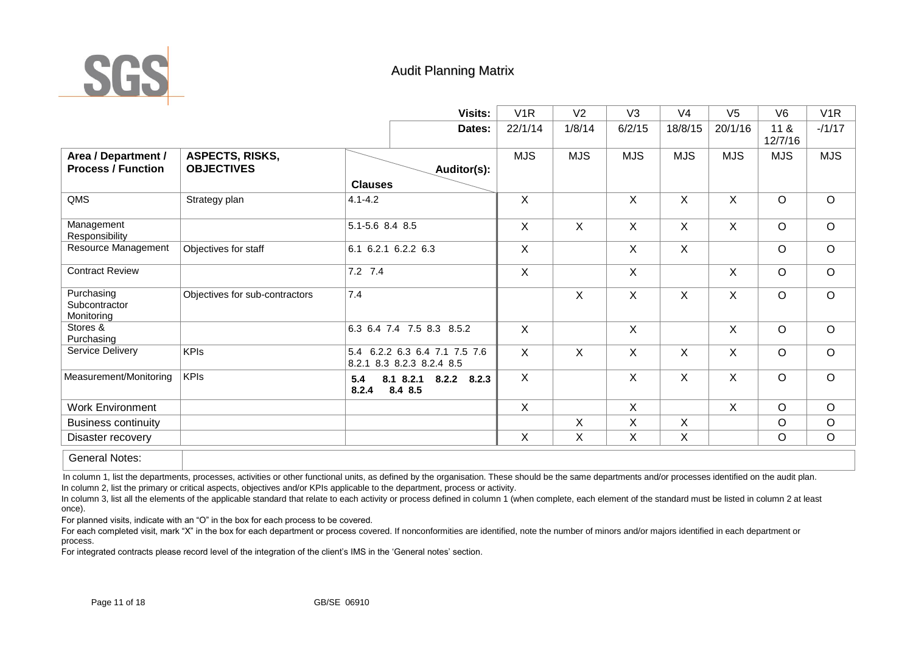

# Audit Planning Matrix

|                                                     |                                             | <b>Visits:</b>                                             | V <sub>1</sub> R | V <sub>2</sub> | V <sub>3</sub> | V <sub>4</sub> | V <sub>5</sub> | V <sub>6</sub>  | V <sub>1</sub> R |
|-----------------------------------------------------|---------------------------------------------|------------------------------------------------------------|------------------|----------------|----------------|----------------|----------------|-----------------|------------------|
|                                                     |                                             | Dates:                                                     | 22/1/14          | 1/8/14         | 6/2/15         | 18/8/15        | 20/1/16        | 11 &<br>12/7/16 | $-11/17$         |
| Area / Department /<br><b>Process / Function</b>    | <b>ASPECTS, RISKS,</b><br><b>OBJECTIVES</b> | Auditor(s):                                                | <b>MJS</b>       | <b>MJS</b>     | <b>MJS</b>     | <b>MJS</b>     | <b>MJS</b>     | <b>MJS</b>      | <b>MJS</b>       |
|                                                     |                                             | <b>Clauses</b>                                             |                  |                |                |                |                |                 |                  |
| QMS                                                 | Strategy plan                               | $4.1 - 4.2$                                                | X                |                | X              | $\sf X$        | X              | $\circ$         | $\circ$          |
| Management<br>Responsibility                        |                                             | 5.1-5.6 8.4 8.5                                            | X                | X              | $\mathsf{X}$   | X              | X              | $\circ$         | $\circ$          |
| Resource Management                                 | Objectives for staff                        | 6.1 6.2.1 6.2.2 6.3                                        | X                |                | X              | $\sf X$        |                | O               | $\circ$          |
| <b>Contract Review</b>                              |                                             | 7.2 7.4                                                    | X                |                | X              |                | X              | $\circ$         | $\circ$          |
| Purchasing<br>Subcontractor<br>Monitoring           | Objectives for sub-contractors              | 7.4                                                        |                  | X              | $\mathsf{X}$   | $\sf X$        | X              | $\circ$         | $\circ$          |
| Stores &<br>Purchasing                              |                                             | 6.3 6.4 7.4 7.5 8.3 8.5.2                                  | $\mathsf{X}$     |                | $\mathsf{X}$   |                | X              | $\circ$         | $\circ$          |
| Service Delivery                                    | <b>KPIs</b>                                 | 5.4 6.2.2 6.3 6.4 7.1 7.5 7.6<br>8.2.1 8.3 8.2.3 8.2.4 8.5 | X                | X              | X              | $\sf X$        | X              | $\circ$         | $\circ$          |
| Measurement/Monitoring                              | <b>KPIs</b>                                 | 8.1 8.2.1 8.2.2<br>8.2.3<br>5.4<br>8.4 8.5<br>8.2.4        | $\mathsf{X}$     |                | X              | $\sf X$        | X              | $\circ$         | $\circ$          |
| <b>Work Environment</b>                             |                                             |                                                            | $\mathsf{X}$     |                | X              |                | X              | $\circ$         | $\circ$          |
| <b>Business continuity</b>                          |                                             |                                                            |                  | X              | X              | $\sf X$        |                | O               | $\circ$          |
| Disaster recovery                                   |                                             |                                                            | X                | X              | X              | $\mathsf X$    |                | $\circ$         | $\circ$          |
| $Q$ and $Q$ and $Q$ and $Q$ and $Q$ and $Q$ and $Q$ |                                             |                                                            |                  |                |                |                |                |                 |                  |

General Notes:

In column 1, list the departments, processes, activities or other functional units, as defined by the organisation. These should be the same departments and/or processes identified on the audit plan. In column 2, list the primary or critical aspects, objectives and/or KPIs applicable to the department, process or activity.

In column 3, list all the elements of the applicable standard that relate to each activity or process defined in column 1 (when complete, each element of the standard must be listed in column 2 at least once).

For planned visits, indicate with an "O" in the box for each process to be covered.

For each completed visit, mark "X" in the box for each department or process covered. If nonconformities are identified, note the number of minors and/or majors identified in each department or process.

For integrated contracts please record level of the integration of the client's IMS in the 'General notes' section.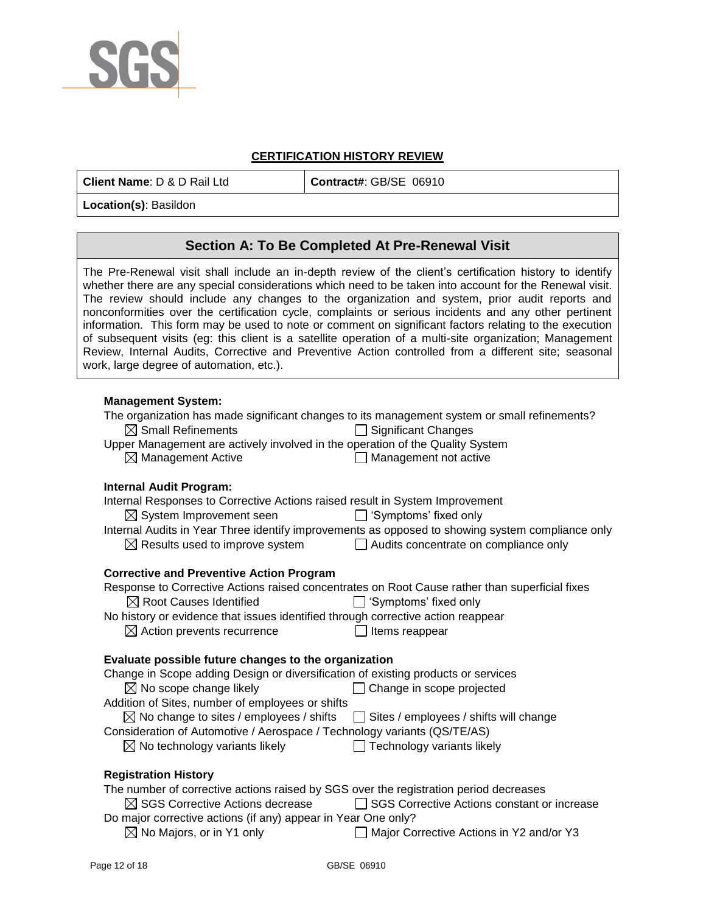

### **CERTIFICATION HISTORY REVIEW**

**Client Name**: D & D Rail Ltd **Contract#**: GB/SE 06910

**Location(s)**: Basildon

# **Section A: To Be Completed At Pre-Renewal Visit**

The Pre-Renewal visit shall include an in-depth review of the client's certification history to identify whether there are any special considerations which need to be taken into account for the Renewal visit. The review should include any changes to the organization and system, prior audit reports and nonconformities over the certification cycle, complaints or serious incidents and any other pertinent information. This form may be used to note or comment on significant factors relating to the execution of subsequent visits (eg: this client is a satellite operation of a multi-site organization; Management Review, Internal Audits, Corrective and Preventive Action controlled from a different site; seasonal work, large degree of automation, etc.).

### **Management System:**

The organization has made significant changes to its management system or small refinements?  $\boxtimes$  Small Refinements  $\Box$  Significant Changes Upper Management are actively involved in the operation of the Quality System  $\boxtimes$  Management Active  $\Box$  Management not active  $\Box$  Management not active

#### **Internal Audit Program:**

| Internal Responses to Corrective Actions raised result in System Improvement                      |                                                                                                  |
|---------------------------------------------------------------------------------------------------|--------------------------------------------------------------------------------------------------|
| $\boxtimes$ System Improvement seen $\Box$ 'Symptoms' fixed only                                  |                                                                                                  |
|                                                                                                   | Internal Audits in Year Three identify improvements as opposed to showing system compliance only |
| $\boxtimes$ Results used to improve system $\Box$ Audits concentrate on compliance only           |                                                                                                  |
|                                                                                                   |                                                                                                  |
| <b>Corrective and Preventive Action Program</b>                                                   |                                                                                                  |
| Response to Corrective Actions raised concentrates on Root Cause rather than superficial fixes    |                                                                                                  |
| $\boxtimes$ Root Causes Identified $\Box$ 'Symptoms' fixed only                                   |                                                                                                  |
| No history or evidence that issues identified through corrective action reappear                  |                                                                                                  |
| $\boxtimes$ Action prevents recurrence                                                            | Items reappear                                                                                   |
|                                                                                                   |                                                                                                  |
| Evaluate possible future changes to the organization                                              |                                                                                                  |
| Change in Scope adding Design or diversification of existing products or services                 |                                                                                                  |
| $\boxtimes$ No scope change likely                                                                | Change in scope projected<br>$\Box$                                                              |
| Addition of Sites, number of employees or shifts                                                  |                                                                                                  |
| $\boxtimes$ No change to sites / employees / shifts $\Box$ Sites / employees / shifts will change |                                                                                                  |
| Consideration of Automotive / Aerospace / Technology variants (QS/TE/AS)                          |                                                                                                  |
|                                                                                                   |                                                                                                  |
| $\boxtimes$ No technology variants likely                                                         | $\Box$ Technology variants likely                                                                |
|                                                                                                   |                                                                                                  |
| <b>Registration History</b>                                                                       |                                                                                                  |

| The number of corrective actions raised by SGS over the registration period decreases |                                               |  |  |  |  |  |
|---------------------------------------------------------------------------------------|-----------------------------------------------|--|--|--|--|--|
| $\boxtimes$ SGS Corrective Actions decrease                                           | □ SGS Corrective Actions constant or increase |  |  |  |  |  |
| Do major corrective actions (if any) appear in Year One only?                         |                                               |  |  |  |  |  |
| $\boxtimes$ No Majors, or in Y1 only                                                  | Major Corrective Actions in Y2 and/or Y3      |  |  |  |  |  |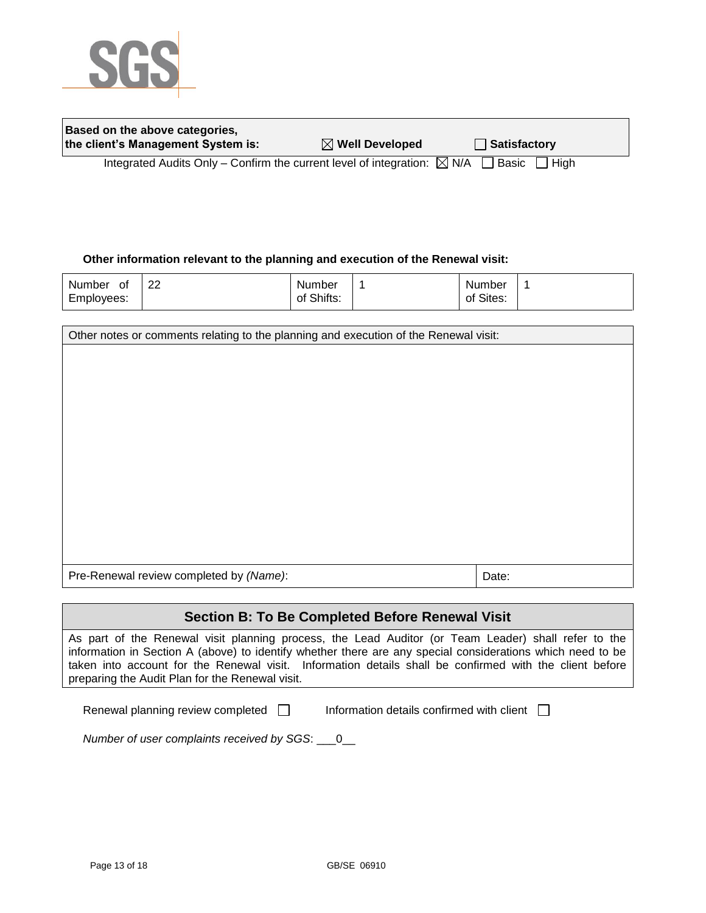

| Based on the above categories,     |                            |              |
|------------------------------------|----------------------------|--------------|
| the client's Management System is: | $\boxtimes$ Well Developed | Satisfactory |
|                                    |                            |              |

Integrated Audits Only – Confirm the current level of integration:  $\boxtimes$  N/A  $\Box$  Basic  $\Box$  High

### **Other information relevant to the planning and execution of the Renewal visit:**

| Number<br>0t | ററ<br>∠∠ | Number     | Number    |  |
|--------------|----------|------------|-----------|--|
| Employees:   |          | of Shifts: | of Sites: |  |

| Other notes or comments relating to the planning and execution of the Renewal visit: |       |  |  |  |
|--------------------------------------------------------------------------------------|-------|--|--|--|
|                                                                                      |       |  |  |  |
|                                                                                      |       |  |  |  |
|                                                                                      |       |  |  |  |
|                                                                                      |       |  |  |  |
|                                                                                      |       |  |  |  |
|                                                                                      |       |  |  |  |
|                                                                                      |       |  |  |  |
|                                                                                      |       |  |  |  |
|                                                                                      |       |  |  |  |
|                                                                                      |       |  |  |  |
| Pre-Renewal review completed by (Name):                                              | Date: |  |  |  |
|                                                                                      |       |  |  |  |

## **Section B: To Be Completed Before Renewal Visit**

As part of the Renewal visit planning process, the Lead Auditor (or Team Leader) shall refer to the information in Section A (above) to identify whether there are any special considerations which need to be taken into account for the Renewal visit. Information details shall be confirmed with the client before preparing the Audit Plan for the Renewal visit.

Renewal planning review completed  $\Box$  Information details confirmed with client  $\Box$ 

*Number of user complaints received by SGS*: \_\_\_0\_\_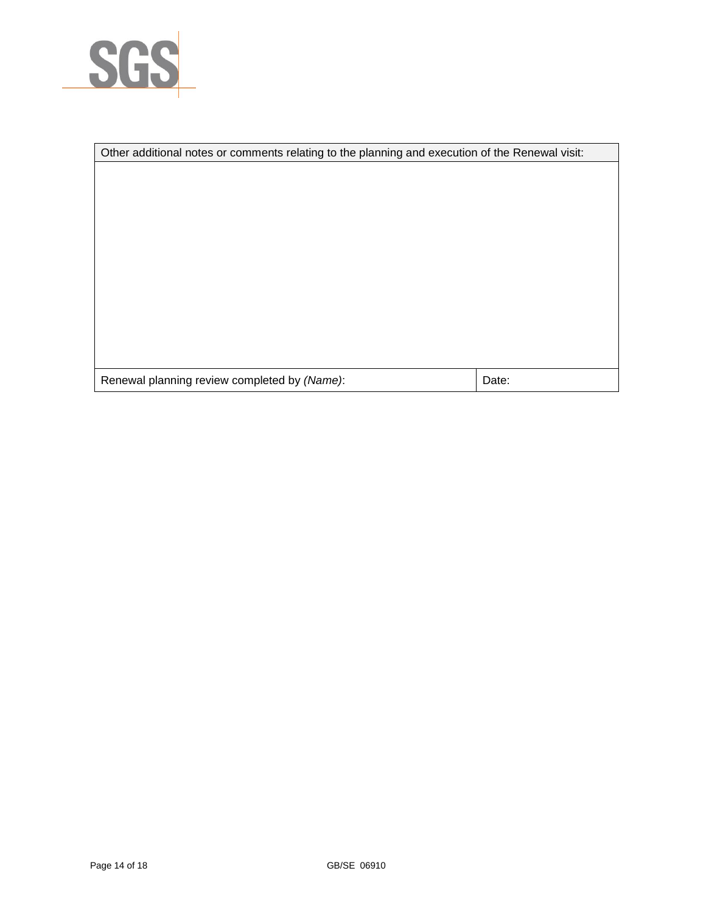

|                                              | Other additional notes or comments relating to the planning and execution of the Renewal visit: |  |  |  |  |
|----------------------------------------------|-------------------------------------------------------------------------------------------------|--|--|--|--|
|                                              |                                                                                                 |  |  |  |  |
|                                              |                                                                                                 |  |  |  |  |
|                                              |                                                                                                 |  |  |  |  |
|                                              |                                                                                                 |  |  |  |  |
|                                              |                                                                                                 |  |  |  |  |
|                                              |                                                                                                 |  |  |  |  |
|                                              |                                                                                                 |  |  |  |  |
|                                              |                                                                                                 |  |  |  |  |
|                                              |                                                                                                 |  |  |  |  |
|                                              |                                                                                                 |  |  |  |  |
|                                              |                                                                                                 |  |  |  |  |
| Renewal planning review completed by (Name): | Date:                                                                                           |  |  |  |  |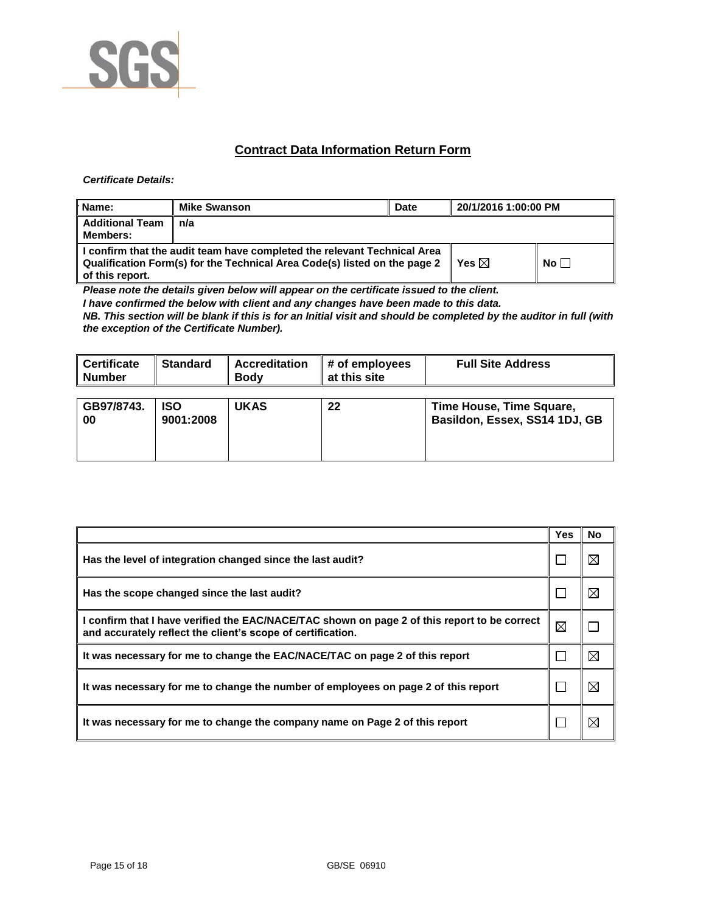

## **Contract Data Information Return Form**

#### *Certificate Details:*

| Name:                                     | <b>Mike Swanson</b>                                                                                                                                   | <b>Date</b> | 20/1/2016 1:00:00 PM |           |
|-------------------------------------------|-------------------------------------------------------------------------------------------------------------------------------------------------------|-------------|----------------------|-----------|
| <b>Additional Team</b><br><b>Members:</b> | n/a                                                                                                                                                   |             |                      |           |
| of this report.                           | I confirm that the audit team have completed the relevant Technical Area<br>Qualification Form(s) for the Technical Area Code(s) listed on the page 2 |             | Yes $\boxtimes$      | No $\Box$ |

*Please note the details given below will appear on the certificate issued to the client.*

*I have confirmed the below with client and any changes have been made to this data.* 

*NB. This section will be blank if this is for an Initial visit and should be completed by the auditor in full (with the exception of the Certificate Number).* 

| ∥ Certificate<br><b>Number</b> | <b>Standard</b>         | <b>Accreditation</b><br><b>Body</b> | # of employees<br>at this site | <b>Full Site Address</b>                                  |
|--------------------------------|-------------------------|-------------------------------------|--------------------------------|-----------------------------------------------------------|
| GB97/8743.<br>00               | <b>ISO</b><br>9001:2008 | <b>UKAS</b>                         | 22                             | Time House, Time Square,<br>Basildon, Essex, SS14 1DJ, GB |

|                                                                                                                                                             | Yes | No          |
|-------------------------------------------------------------------------------------------------------------------------------------------------------------|-----|-------------|
| Has the level of integration changed since the last audit?                                                                                                  |     | ⊠           |
| Has the scope changed since the last audit?                                                                                                                 |     | ⊠           |
| I confirm that I have verified the EAC/NACE/TAC shown on page 2 of this report to be correct<br>and accurately reflect the client's scope of certification. | ⊠   |             |
| It was necessary for me to change the EAC/NACE/TAC on page 2 of this report                                                                                 |     | $\boxtimes$ |
| It was necessary for me to change the number of employees on page 2 of this report                                                                          |     | ⊠           |
| It was necessary for me to change the company name on Page 2 of this report                                                                                 |     | $\boxtimes$ |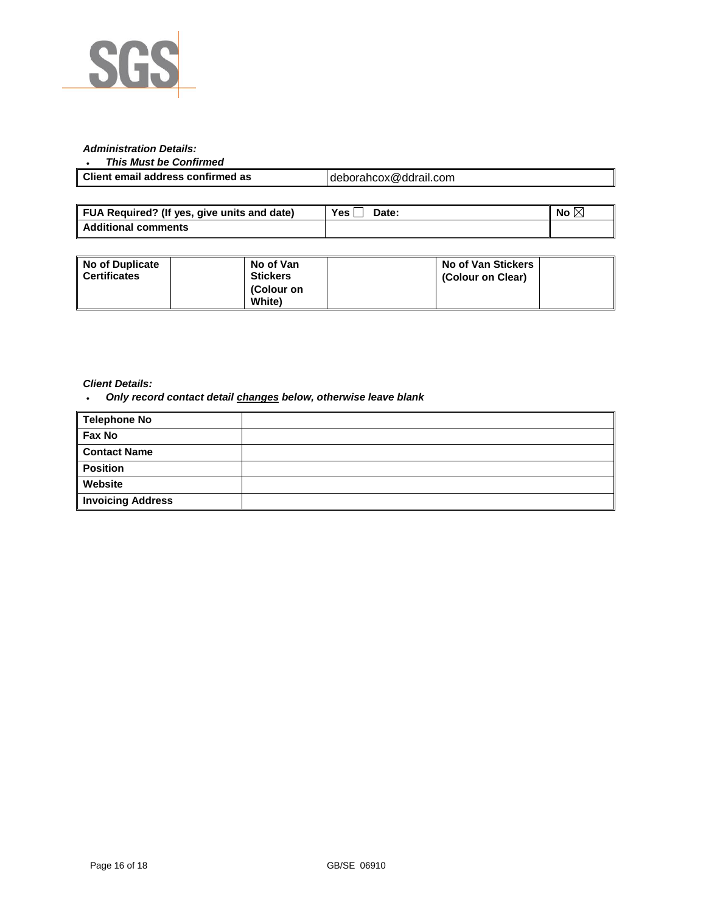

#### *Administration Details:*

### *This Must be Confirmed*

| Client email address confirmed as | deborahcox@ddrail.com |
|-----------------------------------|-----------------------|
|                                   |                       |

| FUA Required? (If yes, give units and date) | Yes,<br>Date: | No |
|---------------------------------------------|---------------|----|
| <b>Additional comments</b>                  |               |    |

| <b>No of Duplicate</b><br><b>Certificates</b> | No of Van<br><b>Stickers</b><br>(Colour on | No of Van Stickers<br>(Colour on Clear) |  |
|-----------------------------------------------|--------------------------------------------|-----------------------------------------|--|
|                                               | <b>White</b> )                             |                                         |  |

#### *Client Details:*

*Only record contact detail changes below, otherwise leave blank*

| Telephone No             |  |
|--------------------------|--|
| Fax No                   |  |
| <b>Contact Name</b>      |  |
| <b>Position</b>          |  |
| Website                  |  |
| <b>Invoicing Address</b> |  |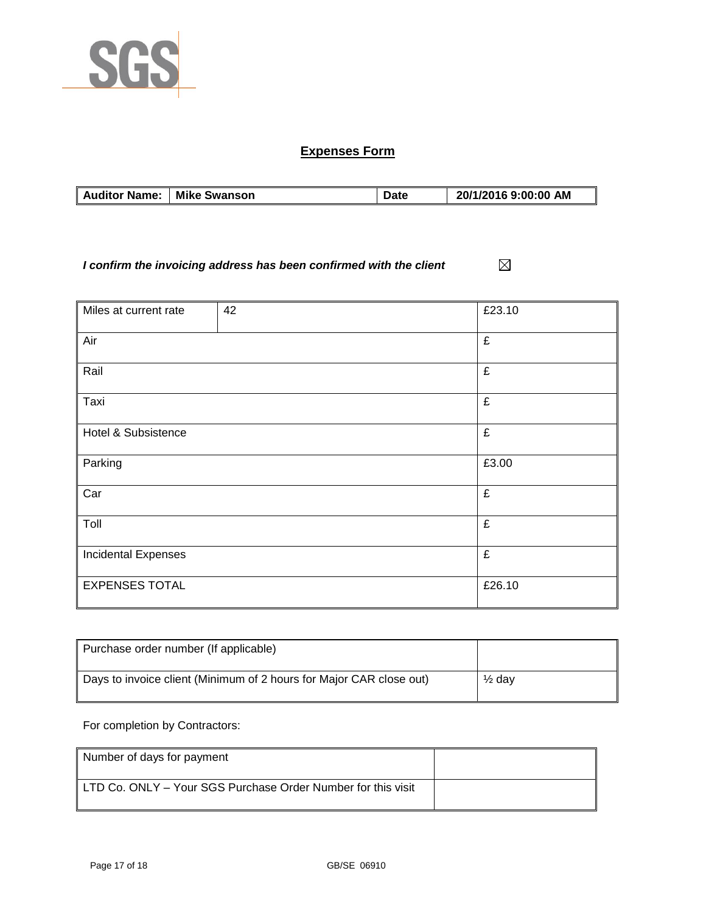

# **Expenses Form**

| <b>Auditor Name:</b> | <b>Mike Swanson</b> | Datc | 20/1/2016 9:00:00 AM |
|----------------------|---------------------|------|----------------------|

*I confirm the invoicing address has been confirmed with the client*  $\boxtimes$ 

| Miles at current rate      | 42 | £23.10 |
|----------------------------|----|--------|
|                            |    |        |
| Air                        |    | £      |
|                            |    |        |
| Rail                       |    | £      |
|                            |    |        |
| Taxi                       |    | £      |
|                            |    |        |
| Hotel & Subsistence        |    | £      |
|                            |    |        |
| Parking                    |    | £3.00  |
|                            |    |        |
| Car                        |    | £      |
|                            |    |        |
| Toll                       |    | £      |
|                            |    |        |
| <b>Incidental Expenses</b> |    | £      |
|                            |    |        |
| <b>EXPENSES TOTAL</b>      |    | £26.10 |
|                            |    |        |

| Purchase order number (If applicable)                               |                   |
|---------------------------------------------------------------------|-------------------|
| Days to invoice client (Minimum of 2 hours for Major CAR close out) | $\frac{1}{2}$ dav |

For completion by Contractors:

| Number of days for payment                                   |  |
|--------------------------------------------------------------|--|
| LTD Co. ONLY - Your SGS Purchase Order Number for this visit |  |